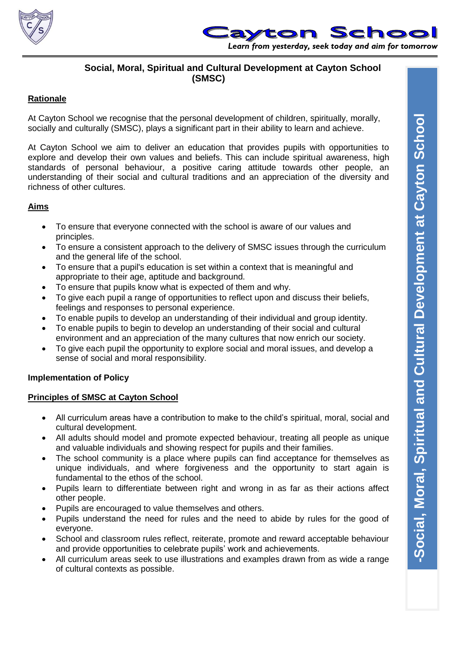



# **Social, Moral, Spiritual and Cultural Development at Cayton School (SMSC)**

## **Rationale**

At Cayton School we recognise that the personal development of children, spiritually, morally, socially and culturally (SMSC), plays a significant part in their ability to learn and achieve.

At Cayton School we aim to deliver an education that provides pupils with opportunities to explore and develop their own values and beliefs. This can include spiritual awareness, high standards of personal behaviour, a positive caring attitude towards other people, an understanding of their social and cultural traditions and an appreciation of the diversity and richness of other cultures.

## **Aims**

- To ensure that everyone connected with the school is aware of our values and principles.
- To ensure a consistent approach to the delivery of SMSC issues through the curriculum and the general life of the school.
- To ensure that a pupil's education is set within a context that is meaningful and appropriate to their age, aptitude and background.
- To ensure that pupils know what is expected of them and why.
- To give each pupil a range of opportunities to reflect upon and discuss their beliefs, feelings and responses to personal experience.
- To enable pupils to develop an understanding of their individual and group identity.
- To enable pupils to begin to develop an understanding of their social and cultural environment and an appreciation of the many cultures that now enrich our society.
- To give each pupil the opportunity to explore social and moral issues, and develop a sense of social and moral responsibility.

## **Implementation of Policy**

## **Principles of SMSC at Cayton School**

- All curriculum areas have a contribution to make to the child's spiritual, moral, social and cultural development.
- All adults should model and promote expected behaviour, treating all people as unique and valuable individuals and showing respect for pupils and their families.
- The school community is a place where pupils can find acceptance for themselves as unique individuals, and where forgiveness and the opportunity to start again is fundamental to the ethos of the school.
- Pupils learn to differentiate between right and wrong in as far as their actions affect other people.
- Pupils are encouraged to value themselves and others.
- Pupils understand the need for rules and the need to abide by rules for the good of everyone.
- School and classroom rules reflect, reiterate, promote and reward acceptable behaviour and provide opportunities to celebrate pupils' work and achievements.
- All curriculum areas seek to use illustrations and examples drawn from as wide a range of cultural contexts as possible.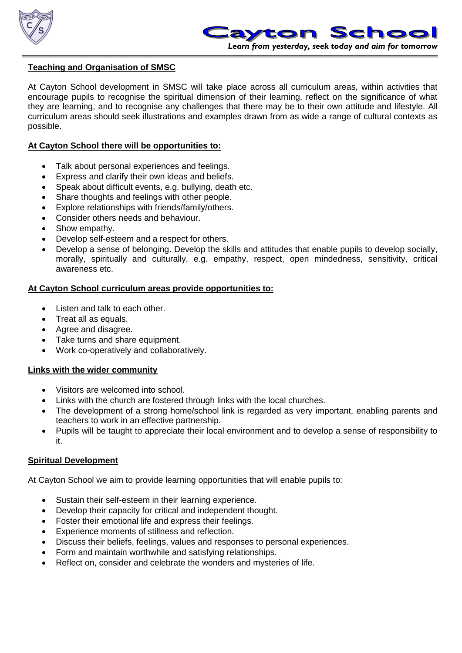



## **Teaching and Organisation of SMSC**

At Cayton School development in SMSC will take place across all curriculum areas, within activities that encourage pupils to recognise the spiritual dimension of their learning, reflect on the significance of what they are learning, and to recognise any challenges that there may be to their own attitude and lifestyle. All curriculum areas should seek illustrations and examples drawn from as wide a range of cultural contexts as possible.

#### **At Cayton School there will be opportunities to:**

- Talk about personal experiences and feelings.
- Express and clarify their own ideas and beliefs.
- Speak about difficult events, e.g. bullying, death etc.
- Share thoughts and feelings with other people.
- Explore relationships with friends/family/others.
- Consider others needs and behaviour.
- Show empathy.
- Develop self-esteem and a respect for others.
- Develop a sense of belonging. Develop the skills and attitudes that enable pupils to develop socially, morally, spiritually and culturally, e.g. empathy, respect, open mindedness, sensitivity, critical awareness etc.

#### **At Cayton School curriculum areas provide opportunities to:**

- Listen and talk to each other.
- Treat all as equals.
- Agree and disagree.
- Take turns and share equipment.
- Work co-operatively and collaboratively.

## **Links with the wider community**

- Visitors are welcomed into school.
- Links with the church are fostered through links with the local churches.
- The development of a strong home/school link is regarded as very important, enabling parents and teachers to work in an effective partnership.
- Pupils will be taught to appreciate their local environment and to develop a sense of responsibility to it.

## **Spiritual Development**

At Cayton School we aim to provide learning opportunities that will enable pupils to:

- Sustain their self-esteem in their learning experience.
- Develop their capacity for critical and independent thought.
- Foster their emotional life and express their feelings.
- Experience moments of stillness and reflection.
- Discuss their beliefs, feelings, values and responses to personal experiences.
- Form and maintain worthwhile and satisfying relationships.
- Reflect on, consider and celebrate the wonders and mysteries of life.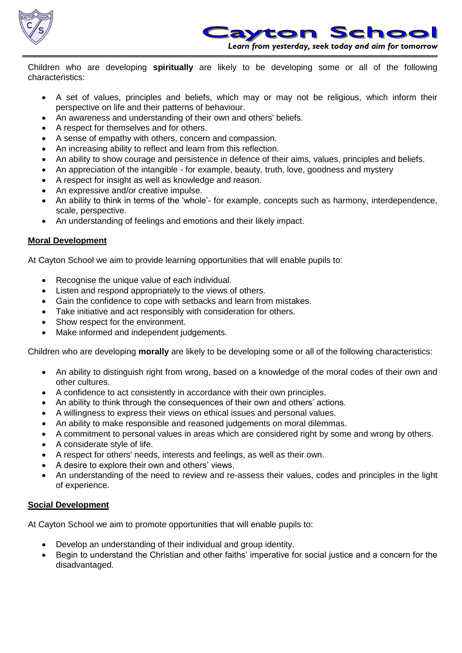



Children who are developing **spiritually** are likely to be developing some or all of the following characteristics:

- A set of values, principles and beliefs, which may or may not be religious, which inform their perspective on life and their patterns of behaviour.
- An awareness and understanding of their own and others' beliefs.
- A respect for themselves and for others.
- A sense of empathy with others, concern and compassion.
- An increasing ability to reflect and learn from this reflection.
- An ability to show courage and persistence in defence of their aims, values, principles and beliefs.
- An appreciation of the intangible for example, beauty, truth, love, goodness and mystery
- A respect for insight as well as knowledge and reason.
- An expressive and/or creative impulse.
- An ability to think in terms of the 'whole'- for example, concepts such as harmony, interdependence, scale, perspective.
- An understanding of feelings and emotions and their likely impact.

## **Moral Development**

At Cayton School we aim to provide learning opportunities that will enable pupils to:

- Recognise the unique value of each individual.
- Listen and respond appropriately to the views of others.
- Gain the confidence to cope with setbacks and learn from mistakes.
- Take initiative and act responsibly with consideration for others.
- Show respect for the environment.
- Make informed and independent judgements.

Children who are developing **morally** are likely to be developing some or all of the following characteristics:

- An ability to distinguish right from wrong, based on a knowledge of the moral codes of their own and other cultures.
- A confidence to act consistently in accordance with their own principles.
- An ability to think through the consequences of their own and others' actions.
- A willingness to express their views on ethical issues and personal values.
- An ability to make responsible and reasoned judgements on moral dilemmas.
- A commitment to personal values in areas which are considered right by some and wrong by others.
- A considerate style of life.
- A respect for others' needs, interests and feelings, as well as their own.
- A desire to explore their own and others' views.
- An understanding of the need to review and re-assess their values, codes and principles in the light of experience.

## **Social Development**

At Cayton School we aim to promote opportunities that will enable pupils to:

- Develop an understanding of their individual and group identity.
- Begin to understand the Christian and other faiths' imperative for social justice and a concern for the disadvantaged.